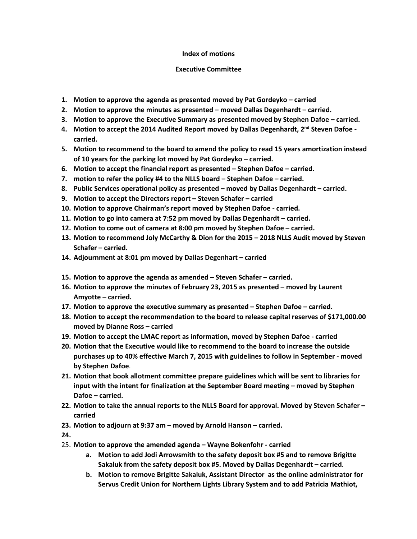## **Index of motions**

## **Executive Committee**

- **1. Motion to approve the agenda as presented moved by Pat Gordeyko – carried**
- **2. Motion to approve the minutes as presented – moved Dallas Degenhardt – carried.**
- **3. Motion to approve the Executive Summary as presented moved by Stephen Dafoe – carried.**
- **4. Motion to accept the 2014 Audited Report moved by Dallas Degenhardt, 2nd Steven Dafoe carried.**
- **5. Motion to recommend to the board to amend the policy to read 15 years amortization instead of 10 years for the parking lot moved by Pat Gordeyko – carried.**
- **6. Motion to accept the financial report as presented – Stephen Dafoe – carried.**
- **7. motion to refer the policy #4 to the NLLS board – Stephen Dafoe – carried.**
- **8. Public Services operational policy as presented – moved by Dallas Degenhardt – carried.**
- **9. Motion to accept the Directors report – Steven Schafer – carried**
- **10. Motion to approve Chairman's report moved by Stephen Dafoe - carried.**
- **11. Motion to go into camera at 7:52 pm moved by Dallas Degenhardt – carried.**
- **12. Motion to come out of camera at 8:00 pm moved by Stephen Dafoe – carried.**
- **13. Motion to recommend Joly McCarthy & Dion for the 2015 – 2018 NLLS Audit moved by Steven Schafer – carried.**
- **14. Adjournment at 8:01 pm moved by Dallas Degenhart – carried**
- **15. Motion to approve the agenda as amended – Steven Schafer – carried.**
- **16. Motion to approve the minutes of February 23, 2015 as presented – moved by Laurent Amyotte – carried.**
- **17. Motion to approve the executive summary as presented – Stephen Dafoe – carried.**
- **18. Motion to accept the recommendation to the board to release capital reserves of \$171,000.00 moved by Dianne Ross – carried**
- **19. Motion to accept the LMAC report as information, moved by Stephen Dafoe - carried**
- **20. Motion that the Executive would like to recommend to the board to increase the outside purchases up to 40% effective March 7, 2015 with guidelines to follow in September - moved by Stephen Dafoe**.
- **21. Motion that book allotment committee prepare guidelines which will be sent to libraries for input with the intent for finalization at the September Board meeting – moved by Stephen Dafoe – carried.**
- **22. Motion to take the annual reports to the NLLS Board for approval. Moved by Steven Schafer – carried**
- **23. Motion to adjourn at 9:37 am – moved by Arnold Hanson – carried.**
- **24.**
- 25. **Motion to approve the amended agenda – Wayne Bokenfohr - carried**
	- **a. Motion to add Jodi Arrowsmith to the safety deposit box #5 and to remove Brigitte Sakaluk from the safety deposit box #5. Moved by Dallas Degenhardt – carried.**
	- **b. Motion to remove Brigitte Sakaluk, Assistant Director as the online administrator for Servus Credit Union for Northern Lights Library System and to add Patricia Mathiot,**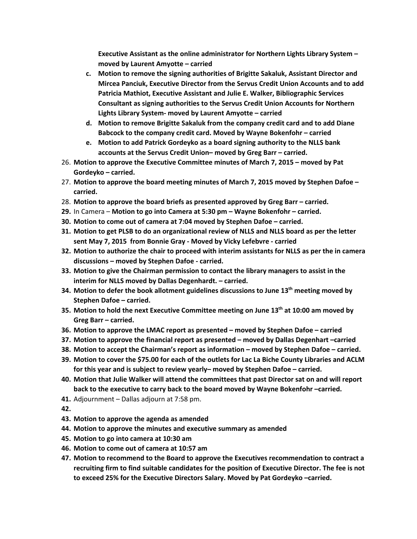**Executive Assistant as the online administrator for Northern Lights Library System – moved by Laurent Amyotte – carried**

- **c. Motion to remove the signing authorities of Brigitte Sakaluk, Assistant Director and Mircea Panciuk, Executive Director from the Servus Credit Union Accounts and to add Patricia Mathiot, Executive Assistant and Julie E. Walker, Bibliographic Services Consultant as signing authorities to the Servus Credit Union Accounts for Northern Lights Library System- moved by Laurent Amyotte – carried**
- **d. Motion to remove Brigitte Sakaluk from the company credit card and to add Diane Babcock to the company credit card. Moved by Wayne Bokenfohr – carried**
- **e. Motion to add Patrick Gordeyko as a board signing authority to the NLLS bank accounts at the Servus Credit Union– moved by Greg Barr – carried.**
- 26. **Motion to approve the Executive Committee minutes of March 7, 2015 – moved by Pat Gordeyko – carried.**
- 27. **Motion to approve the board meeting minutes of March 7, 2015 moved by Stephen Dafoe – carried.**
- 28. **Motion to approve the board briefs as presented approved by Greg Barr – carried.**
- **29.** In Camera **Motion to go into Camera at 5:30 pm – Wayne Bokenfohr – carried.**
- **30. Motion to come out of camera at 7:04 moved by Stephen Dafoe – carried.**
- **31. Motion to get PLSB to do an organizational review of NLLS and NLLS board as per the letter sent May 7, 2015 from Bonnie Gray - Moved by Vicky Lefebvre - carried**
- **32. Motion to authorize the chair to proceed with interim assistants for NLLS as per the in camera discussions – moved by Stephen Dafoe - carried.**
- **33. Motion to give the Chairman permission to contact the library managers to assist in the interim for NLLS moved by Dallas Degenhardt. – carried.**
- **34. Motion to defer the book allotment guidelines discussions to June 13th meeting moved by Stephen Dafoe – carried.**
- **35. Motion to hold the next Executive Committee meeting on June 13th at 10:00 am moved by Greg Barr – carried.**
- **36. Motion to approve the LMAC report as presented – moved by Stephen Dafoe – carried**
- **37. Motion to approve the financial report as presented – moved by Dallas Degenhart –carried**
- **38. Motion to accept the Chairman's report as information – moved by Stephen Dafoe – carried.**
- **39. Motion to cover the \$75.00 for each of the outlets for Lac La Biche County Libraries and ACLM for this year and is subject to review yearly– moved by Stephen Dafoe – carried.**
- **40. Motion that Julie Walker will attend the committees that past Director sat on and will report back to the executive to carry back to the board moved by Wayne Bokenfohr –carried.**
- **41.** Adjournment Dallas adjourn at 7:58 pm.

**42.**

- **43. Motion to approve the agenda as amended**
- **44. Motion to approve the minutes and executive summary as amended**
- **45. Motion to go into camera at 10:30 am**
- **46. Motion to come out of camera at 10:57 am**
- **47. Motion to recommend to the Board to approve the Executives recommendation to contract a recruiting firm to find suitable candidates for the position of Executive Director. The fee is not to exceed 25% for the Executive Directors Salary. Moved by Pat Gordeyko –carried.**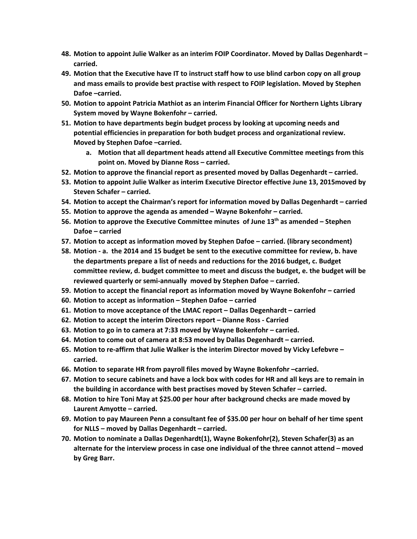- **48. Motion to appoint Julie Walker as an interim FOIP Coordinator. Moved by Dallas Degenhardt – carried.**
- **49. Motion that the Executive have IT to instruct staff how to use blind carbon copy on all group and mass emails to provide best practise with respect to FOIP legislation. Moved by Stephen Dafoe –carried.**
- **50. Motion to appoint Patricia Mathiot as an interim Financial Officer for Northern Lights Library System moved by Wayne Bokenfohr – carried.**
- **51. Motion to have departments begin budget process by looking at upcoming needs and potential efficiencies in preparation for both budget process and organizational review. Moved by Stephen Dafoe –carried.**
	- **a. Motion that all department heads attend all Executive Committee meetings from this point on. Moved by Dianne Ross – carried.**
- **52. Motion to approve the financial report as presented moved by Dallas Degenhardt – carried.**
- **53. Motion to appoint Julie Walker as interim Executive Director effective June 13, 2015moved by Steven Schafer – carried.**
- **54. Motion to accept the Chairman's report for information moved by Dallas Degenhardt – carried**
- **55. Motion to approve the agenda as amended – Wayne Bokenfohr – carried.**
- **56. Motion to approve the Executive Committee minutes of June 13th as amended – Stephen Dafoe – carried**
- **57. Motion to accept as information moved by Stephen Dafoe – carried. (library secondment)**
- **58. Motion - a. the 2014 and 15 budget be sent to the executive committee for review, b. have the departments prepare a list of needs and reductions for the 2016 budget, c. Budget committee review, d. budget committee to meet and discuss the budget, e. the budget will be reviewed quarterly or semi-annually moved by Stephen Dafoe – carried.**
- **59. Motion to accept the financial report as information moved by Wayne Bokenfohr – carried**
- **60. Motion to accept as information – Stephen Dafoe – carried**
- **61. Motion to move acceptance of the LMAC report – Dallas Degenhardt – carried**
- **62. Motion to accept the interim Directors report – Dianne Ross - Carried**
- **63. Motion to go in to camera at 7:33 moved by Wayne Bokenfohr – carried.**
- **64. Motion to come out of camera at 8:53 moved by Dallas Degenhardt – carried.**
- **65. Motion to re-affirm that Julie Walker is the interim Director moved by Vicky Lefebvre – carried.**
- **66. Motion to separate HR from payroll files moved by Wayne Bokenfohr –carried.**
- **67. Motion to secure cabinets and have a lock box with codes for HR and all keys are to remain in the building in accordance with best practises moved by Steven Schafer – carried.**
- **68. Motion to hire Toni May at \$25.00 per hour after background checks are made moved by Laurent Amyotte – carried.**
- **69. Motion to pay Maureen Penn a consultant fee of \$35.00 per hour on behalf of her time spent for NLLS – moved by Dallas Degenhardt – carried.**
- **70. Motion to nominate a Dallas Degenhardt(1), Wayne Bokenfohr(2), Steven Schafer(3) as an alternate for the interview process in case one individual of the three cannot attend – moved by Greg Barr.**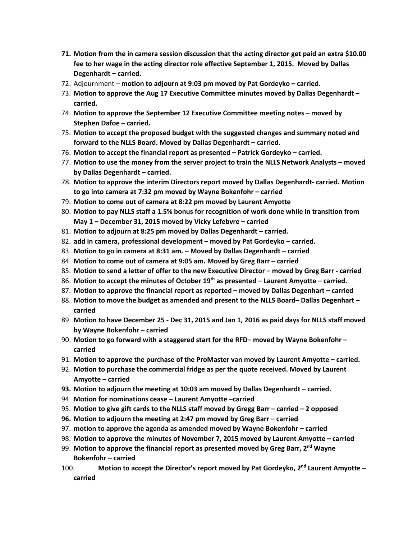- **71. Motion from the in camera session discussion that the acting director get paid an extra \$10.00 fee to her wage in the acting director role effective September 1, 2015. Moved by Dallas Degenhardt – carried.**
- 72. Adjournment **motion to adjourn at 9:03 pm moved by Pat Gordeyko – carried.**
- 73. **Motion to approve the Aug 17 Executive Committee minutes moved by Dallas Degenhardt – carried.**
- 74. **Motion to approve the September 12 Executive Committee meeting notes – moved by Stephen Dafoe – carried.**
- 75. **Motion to accept the proposed budget with the suggested changes and summary noted and forward to the NLLS Board. Moved by Dallas Degenhardt – carried.**
- 76. **Motion to accept the financial report as presented – Patrick Gordeyko – carried.**
- 77. **Motion to use the money from the server project to train the NLLS Network Analysts – moved by Dallas Degenhardt – carried.**
- 78. **Motion to approve the interim Directors report moved by Dallas Degenhardt- carried. Motion to go into camera at 7:32 pm moved by Wayne Bokenfohr – carried**
- 79. **Motion to come out of camera at 8:22 pm moved by Laurent Amyotte**
- 80. **Motion to pay NLLS staff a 1.5% bonus for recognition of work done while in transition from May 1 – December 31, 2015 moved by Vicky Lefebvre – carried**
- 81. **Motion to adjourn at 8:25 pm moved by Dallas Degenhardt – carried.**
- 82. **add in camera, professional development – moved by Pat Gordeyko – carried.**
- 83. **Motion to go in camera at 8:31 am. – Moved by Dallas Degenhardt – carried**
- 84. **Motion to come out of camera at 9:05 am. Moved by Greg Barr – carried**
- 85. **Motion to send a letter of offer to the new Executive Director – moved by Greg Barr - carried**
- 86. **Motion to accept the minutes of October 19th as presented – Laurent Amyotte – carried.**
- 87. **Motion to approve the financial report as reported – moved by Dallas Degenhart – carried**
- 88. **Motion to move the budget as amended and present to the NLLS Board– Dallas Degenhart – carried**
- 89. **Motion to have December 25 - Dec 31, 2015 and Jan 1, 2016 as paid days for NLLS staff moved by Wayne Bokenfohr – carried**
- 90. **Motion to go forward with a staggered start for the RFD– moved by Wayne Bokenfohr – carried**
- 91. **Motion to approve the purchase of the ProMaster van moved by Laurent Amyotte – carried.**
- 92. **Motion to purchase the commercial fridge as per the quote received. Moved by Laurent Amyotte – carried**
- **93. Motion to adjourn the meeting at 10:03 am moved by Dallas Degenhardt – carried.**
- 94. **Motion for nominations cease – Laurent Amyotte –carried**
- 95. **Motion to give gift cards to the NLLS staff moved by Gregg Barr – carried – 2 opposed**
- **96. Motion to adjourn the meeting at 2:47 pm moved by Greg Barr – carried**
- 97. **motion to approve the agenda as amended moved by Wayne Bokenfohr – carried**
- 98. **Motion to approve the minutes of November 7, 2015 moved by Laurent Amyotte – carried**
- 99. **Motion to approve the financial report as presented moved by Greg Barr, 2nd Wayne Bokenfohr – carried**
- 100. **Motion to accept the Director's report moved by Pat Gordeyko, 2nd Laurent Amyotte – carried**